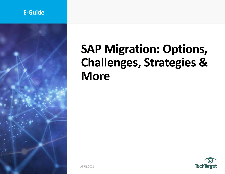# **E-Guide**



# **SAP Migration: Options, Challenges, Strategies & More**

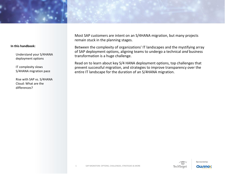

Understand your S/4HANA deployment options

IT complexity slows S/4HANA migration pace

Rise with SAP vs. S/4HANA Cloud: What are the differences?

Most SAP customers are intent on an S/4HANA migration, but many projects remain stuck in the planning stages.

Between the complexity of organizations' IT landscapes and the mystifying array of SAP deployment options, aligning teams to undergo a technical *and* business transformation is a huge challenge.

Read on to learn about key S/4 HANA deployment options, top challenges that prevent successful migration, and strategies to improve transparency over the entire IT landscape for the duration of an S/4HANA migration.

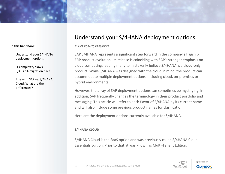Understand your S/4HANA deployment options

IT complexity slows S/4HANA migration pace

Rise with SAP vs. S/4HANA Cloud: What are the differences?

# Understand your S/4HANA deployment options

*JAMES KOFALT, PRESIDENT*

SAP S/4HANA represents a significant step forward in the company's flagship ERP product evolution. Its release is coinciding with SAP's stronger emphasis on cloud computing, leading many to mistakenly believe S/4HANA is a cloud-only product. While S/4HANA was designed with the cloud in mind, the product can accommodate multiple deployment options, including cloud, on-premises or hybrid environments.

However, the array of SAP deployment options can sometimes be mystifying. In addition, SAP frequently changes the terminology in their product portfolio and messaging. This article will refer to each flavor of S/4HANA by its current name and will also include some previous product names for clarification.

Here are the deployment options currently available for S/4HANA.

# **S/4HANA CLOUD**

S/4HANA Cloud is the SaaS option and was previously called S/4HANA Cloud Essentials Edition. Prior to that, it was known as Multi-Tenant Edition.

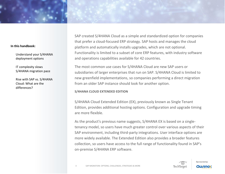Understand your S/4HANA deployment options

IT complexity slows S/4HANA migration pace

Rise with SAP vs. S/4HANA Cloud: What are the differences?

SAP created S/4HANA Cloud as a simple and standardized option for companies that prefer a cloud-focused ERP strategy. SAP hosts and manages the cloud platform and automatically installs upgrades, which are not optional. Functionality is limited to a subset of core ERP features, with industry software and operations capabilities available for 42 countries.

The most common use cases for S/4HANA Cloud are new SAP users or subsidiaries of larger enterprises that run on SAP. S/4HANA Cloud is limited to new greenfield implementations, so companies performing a direct migration from an older SAP instance should look for another option.

# **S/4HANA CLOUD EXTENDED EDITION**

S/4HANA Cloud Extended Edition (EX), previously known as Single Tenant Edition, provides additional hosting options. Configuration and upgrade timing are more flexible.

As the product's previous name suggests, S/4HANA EX is based on a singletenancy model, so users have much greater control over various aspects of their SAP environment, including third-party integrations. User interface options are more widely available. The Extended Edition also provides a broader features collection, so users have access to the full range of functionality found in SAP's on-premise S/4HANA ERP software.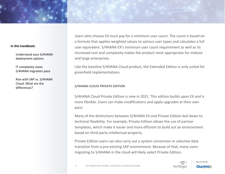Understand your S/4HANA deployment options

IT complexity slows S/4HANA migration pace

Rise with SAP vs. S/4HANA Cloud: What are the differences?

Users who choose EX must pay for a minimum user count. The count is based on a formula that applies weighted values to various user types and calculates a full user equivalent. S/4HANA EX's minimum user count requirement as well as its increased cost and complexity makes the product most appropriate for midsize and large enterprises.

Like the baseline S/4HANA Cloud product, the Extended Edition is only suited for greenfield implementations.

# **S/4HANA CLOUD PRIVATE EDITION**

S/4HANA Cloud Private Edition is new in 2021. This edition builds upon EX and is more flexible. Users can make modifications and apply upgrades at their own pace.

Many of the distinctions between S/4HANA EX and Private Edition boil down to technical flexibility. For example, Private Edition allows the use of partner templates, which make it easier and more efficient to build out an environment based on third-party intellectual property.

Private Edition users can also carry out a system conversion or selective data transition from a pre-existing SAP environment. Because of that, many users migrating to S/4HANA in the cloud will likely select Private Edition.

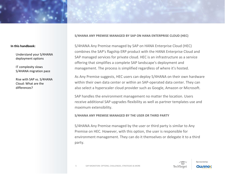Understand your S/4HANA deployment options

IT complexity slows S/4HANA migration pace

Rise with SAP vs. S/4HANA Cloud: What are the differences?

**S/4HANA ANY PREMISE MANAGED BY SAP ON HANA ENTERPRISE CLOUD (HEC)**

S/4HANA Any Premise managed by SAP on HANA Enterprise Cloud (HEC) combines the SAP's flagship ERP product with the HANA Enterprise Cloud and SAP managed services for private cloud. HEC is an infrastructure as a service offering that simplifies a complete SAP landscape's deployment and management. The process is simplified regardless of where it's hosted.

As Any Premise suggests, HEC users can deploy S/4HANA on their own hardware within their own data center or within an SAP-operated data center. They can also select a hyperscaler cloud provider such as Google, Amazon or Microsoft.

SAP handles the environment management no matter the location. Users receive additional SAP upgrades flexibility as well as partner templates use and maximum extensibility.

**S/4HANA ANY PREMISE MANAGED BY THE USER OR THIRD PARTY**

S/4HANA Any Premise managed by the user or third party is similar to Any Premise on HEC. However, with this option, the user is responsible for environment management. They can do it themselves or delegate it to a third party.

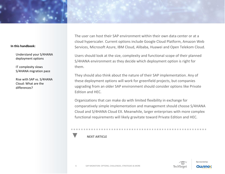Understand your S/4HANA deployment options

IT complexity slows S/4HANA migration pace

Rise with SAP vs. S/4HANA Cloud: What are the differences?

The user can host their SAP environment within their own data center or at a cloud hyperscaler. Current options include Google Cloud Platform, Amazon Web Services, Microsoft Azure, IBM Cloud, Alibaba, Huawei and Open Telekom Cloud.

Users should look at the size, complexity and functional scope of their planned S/4HANA environment as they decide which deployment option is right for them.

They should also think about the nature of their SAP implementation. Any of these deployment options will work for greenfield projects, but companies upgrading from an older SAP environment should consider options like Private Edition and HEC.

Organizations that can make do with limited flexibility in exchange for comparatively simple implementation and management should choose S/4HANA Cloud and S/4HANA Cloud EX. Meanwhile, larger enterprises with more complex functional requirements will likely gravitate toward Private Edition and HEC.

# **NEXT ARTICLE**

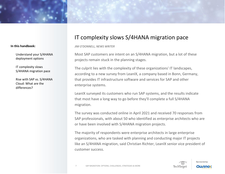Understand your S/4HANA deployment options

IT complexity slows S/4HANA migration pace

Rise with SAP vs. S/4HANA Cloud: What are the differences?

# IT complexity slows S/4HANA migration pace

*JIM O'DONNELL, NEWS WRITER*

Most SAP customers are intent on an S/4HANA migration, but a lot of these projects remain stuck in the planning stages.

The culprit lies with the complexity of these organizations' IT landscapes, according to a new survey from LeanIX, a company based in Bonn, Germany, that provides IT infrastructure software and services for SAP and other enterprise systems.

LeanIX surveyed its customers who run SAP systems, and the results indicate that most have a long way to go before they'll complete a full S/4HANA migration.

The survey was conducted online in April 2021 and received 70 responses from SAP professionals, with about 50 who identified as enterprise architects who are or have been involved with S/4HANA migration projects.

The majority of respondents were enterprise architects in large enterprise organizations, who are tasked with planning and conducting major IT projects like an S/4HANA migration, said Christian Richter, LeanIX senior vice president of customer success.

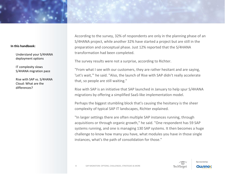Understand your S/4HANA deployment options

IT complexity slows S/4HANA migration pace

Rise with SAP vs. S/4HANA Cloud: What are the differences?

According to the survey, 32% of respondents are only in the planning phase of an S/4HANA project, while another 32% have started a project but are still in the preparation and conceptual phase. Just 12% reported that the S/4HANA transformation had been completed.

The survey results were not a surprise, according to Richter.

"From what I see with our customers, they are rather hesitant and are saying, 'Let's wait,'" he said. "Also, the launch of Rise with SAP didn't really accelerate that, so people are still waiting."

Rise with SAP is an initiative that SAP launched in January to help spur S/4HANA migrations by offering a simplified SaaS-like implementation model.

Perhaps the biggest stumbling block that's causing the hesitancy is the sheer complexity of typical SAP IT landscapes, Richter explained.

"In larger settings there are often multiple SAP instances running, through acquisitions or through organic growth," he said. "One respondent has 59 SAP systems running, and one is managing 130 SAP systems. It then becomes a huge challenge to know how many you have, what modules you have in those single instances, what's the path of consolidation for those."

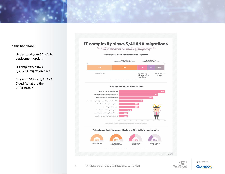

Understand your S/4HANA deployment options

IT complexity slows S/4HANA migration pace

Rise with SAP vs. S/4HANA Cloud: What are the differences?

# IT complexity slows S/4HANA migrations

Most S/4HANA migration projects are stuck in the planning phase, but involving enterprise architects in all project phases may get things moving.

#### Current phase of S/4HANA transformation process







#### Enterprise architects' involvement in phases of the S/4HANA transformation





 $\overline{\circ}$ 

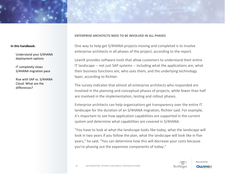Understand your S/4HANA deployment options

IT complexity slows S/4HANA migration pace

Rise with SAP vs. S/4HANA Cloud: What are the differences?

## **ENTERPRISE ARCHITECTS NEED TO BE INVOLVED IN ALL PHASES**

One way to help get S/4HANA projects moving and completed is to involve enterprise architects in all phases of the project, according to the report.

LeanIX provides software tools that allow customers to understand their entire IT landscape -- not just SAP systems -- including what the applications are, what their business functions are, who uses them, and the underlying technology layer, according to Richter.

The survey indicates that almost all enterprise architects who responded are involved in the planning and conceptual phases of projects, while fewer than half are involved in the implementation, testing and rollout phases.

Enterprise architects can help organizations get transparency over the entire IT landscape for the duration of an S/4HANA migration, Richter said. For example, it's important to see how application capabilities are supported in the current system and determine what capabilities are covered in S/4HANA.

"You have to look at what the landscape looks like today, what the landscape will look in two years if you follow the plan, what the landscape will look like in five years," he said. "You can determine how this will decrease your costs because you're phasing out the expensive components of today."

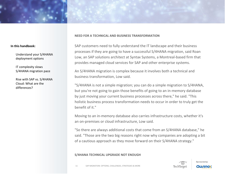Understand your S/4HANA deployment options

IT complexity slows S/4HANA migration pace

Rise with SAP vs. S/4HANA Cloud: What are the differences?

# **NEED FOR A TECHNICAL AND BUSINESS TRANSFORMATION**

SAP customers need to fully understand the IT landscape and their business processes if they are going to have a successful S/4HANA migration, said Roan Low, an SAP solutions architect at Syntax Systems, a Montreal-based firm that provides managed cloud services for SAP and other enterprise systems.

An S/4HANA migration is complex because it involves both a technical and business transformation, Low said.

"S/4HANA is not a simple migration; you can do a simple migration to S/4HANA, but you're not going to gain those benefits of going to an in-memory database by just moving your current business processes across there," he said. "This holistic business process transformation needs to occur in order to truly get the benefit of it."

Moving to an in-memory database also carries infrastructure costs, whether it's an on-premises or cloud infrastructure, Low said.

"So there are always additional costs that come from an S/4HANA database," he said. "Those are the two big reasons right now why companies are adopting a bit of a cautious approach as they move forward on their S/4HANA strategy."

# **S/4HANA TECHNICAL UPGRADE NOT ENOUGH**

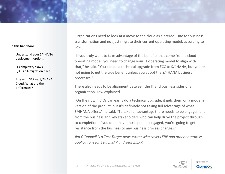Understand your S/4HANA deployment options

IT complexity slows S/4HANA migration pace

Rise with SAP vs. S/4HANA Cloud: What are the differences?

Organizations need to look at a move to the cloud as a prerequisite for business transformation and not just migrate their current operating model, according to Low.

"If you truly want to take advantage of the benefits that come from a cloud operating model, you need to change your IT operating model to align with that," he said. "You can do a technical upgrade from ECC to S/4HANA, but you're not going to get the true benefit unless you adopt the S/4HANA business processes."

There also needs to be alignment between the IT and business sides of an organization, Low explained.

"On their own, CIOs can easily do a technical upgrade; it gets them on a modern version of the product, but it's definitely not taking full advantage of what S/4HANA offers," he said. "To take full advantage there needs to be engagement from the business and key stakeholders who can help drive the project through to completion. If you don't have those people engaged, you're going to get resistance from the business to any business process changes."

*Jim O'Donnell is a TechTarget news writer who covers ERP and other enterprise applications for SearchSAP and SearchERP.*

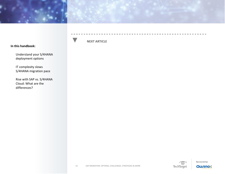

Understand your S/4HANA deployment options

IT complexity slows S/4HANA migration pace

Rise with SAP vs. S/4HANA Cloud: What are the differences?

# **NEXT ARTICLE**



**DOM: NO**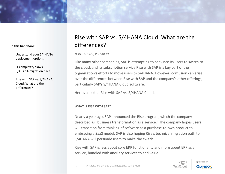Understand your S/4HANA deployment options

IT complexity slows S/4HANA migration pace

Rise with SAP vs. S/4HANA Cloud: What are the differences?

# Rise with SAP vs. S/4HANA Cloud: What are the differences?

*JAMES KOFALT, PRESIDENT*

Like many other companies, SAP is attempting to convince its users to switch to the cloud, and its subscription service Rise with SAP is a key part of the organization's efforts to move users to S/4HANA. However, confusion can arise over the differences between Rise with SAP and the company's other offerings, particularly SAP's S/4HANA Cloud software.

Here's a look at Rise with SAP vs. S/4HANA Cloud.

# **WHAT IS RISE WITH SAP?**

Nearly a year ago, SAP announced the Rise program, which the company described as "business transformation as a service." The company hopes users will transition from thinking of software as a purchase-to-own product to embracing a SaaS model. SAP is also hoping Rise's technical migration path to S/4HANA will persuade users to make the switch.

Rise with SAP is less about core ERP functionality and more about ERP as a service, bundled with ancillary services to add value.